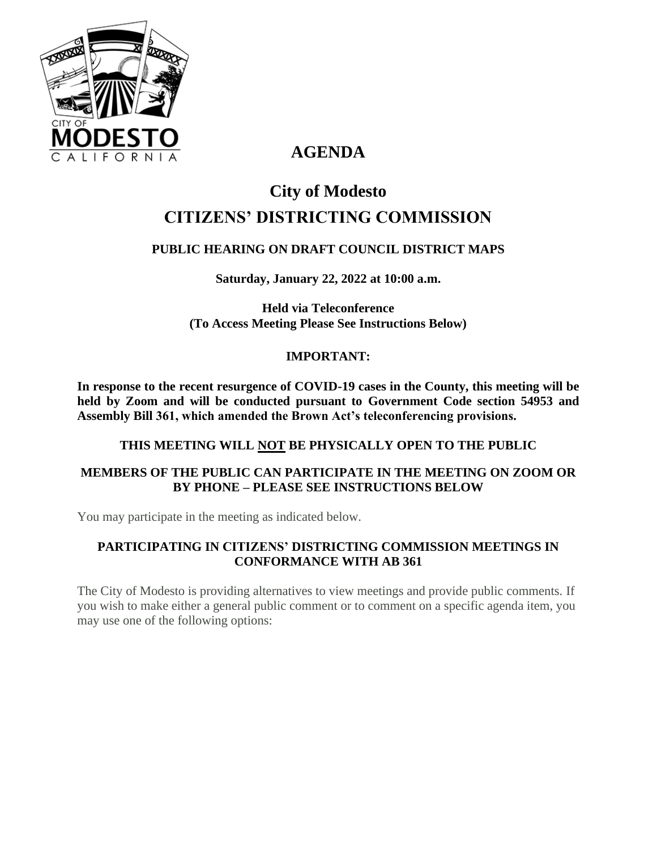

# **AGENDA**

# **City of Modesto CITIZENS' DISTRICTING COMMISSION**

# **PUBLIC HEARING ON DRAFT COUNCIL DISTRICT MAPS**

**Saturday, January 22, 2022 at 10:00 a.m.**

**Held via Teleconference (To Access Meeting Please See Instructions Below)**

#### **IMPORTANT:**

**In response to the recent resurgence of COVID-19 cases in the County, this meeting will be held by Zoom and will be conducted pursuant to Government Code section 54953 and Assembly Bill 361, which amended the Brown Act's teleconferencing provisions.**

#### **THIS MEETING WILL NOT BE PHYSICALLY OPEN TO THE PUBLIC**

# **MEMBERS OF THE PUBLIC CAN PARTICIPATE IN THE MEETING ON ZOOM OR BY PHONE – PLEASE SEE INSTRUCTIONS BELOW**

You may participate in the meeting as indicated below.

# **PARTICIPATING IN CITIZENS' DISTRICTING COMMISSION MEETINGS IN CONFORMANCE WITH AB 361**

The City of Modesto is providing alternatives to view meetings and provide public comments. If you wish to make either a general public comment or to comment on a specific agenda item, you may use one of the following options: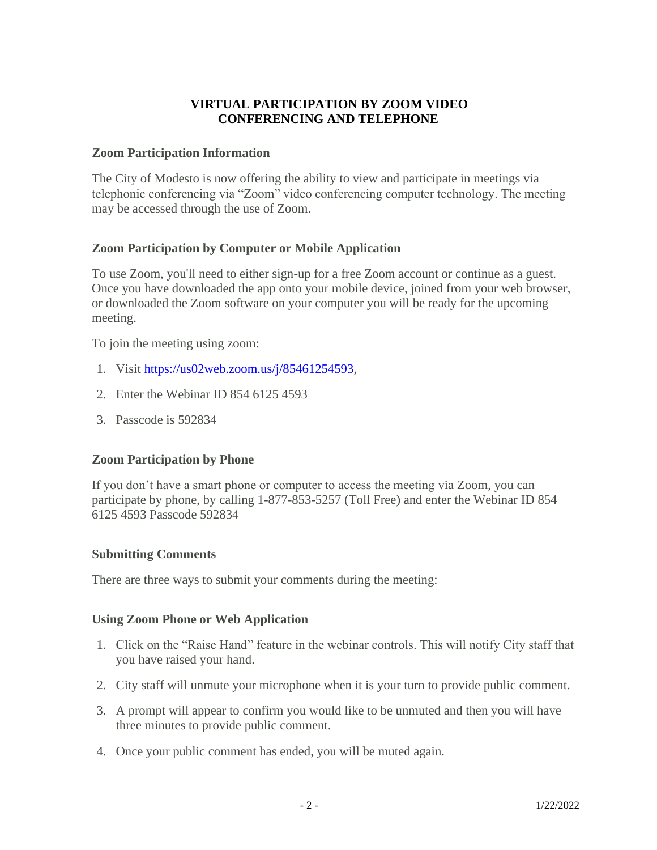#### **VIRTUAL PARTICIPATION BY ZOOM VIDEO CONFERENCING AND TELEPHONE**

#### **Zoom Participation Information**

The City of Modesto is now offering the ability to view and participate in meetings via telephonic conferencing via "Zoom" video conferencing computer technology. The meeting may be accessed through the use of Zoom.

#### **Zoom Participation by Computer or Mobile Application**

To use Zoom, you'll need to either sign-up for a free Zoom account or continue as a guest. Once you have downloaded the app onto your mobile device, joined from your web browser, or downloaded the Zoom software on your computer you will be ready for the upcoming meeting.

To join the meeting using zoom:

- 1. Visit [https://us02web.zoom.us/j/85461254593,](https://us02web.zoom.us/j/85461254593)
- 2. Enter the Webinar ID 854 6125 4593
- 3. Passcode is 592834

#### **Zoom Participation by Phone**

If you don't have a smart phone or computer to access the meeting via Zoom, you can participate by phone, by calling 1-877-853-5257 (Toll Free) and enter the Webinar ID 854 6125 4593 Passcode 592834

#### **Submitting Comments**

There are three ways to submit your comments during the meeting:

#### **Using Zoom Phone or Web Application**

- 1. Click on the "Raise Hand" feature in the webinar controls. This will notify City staff that you have raised your hand.
- 2. City staff will unmute your microphone when it is your turn to provide public comment.
- 3. A prompt will appear to confirm you would like to be unmuted and then you will have three minutes to provide public comment.
- 4. Once your public comment has ended, you will be muted again.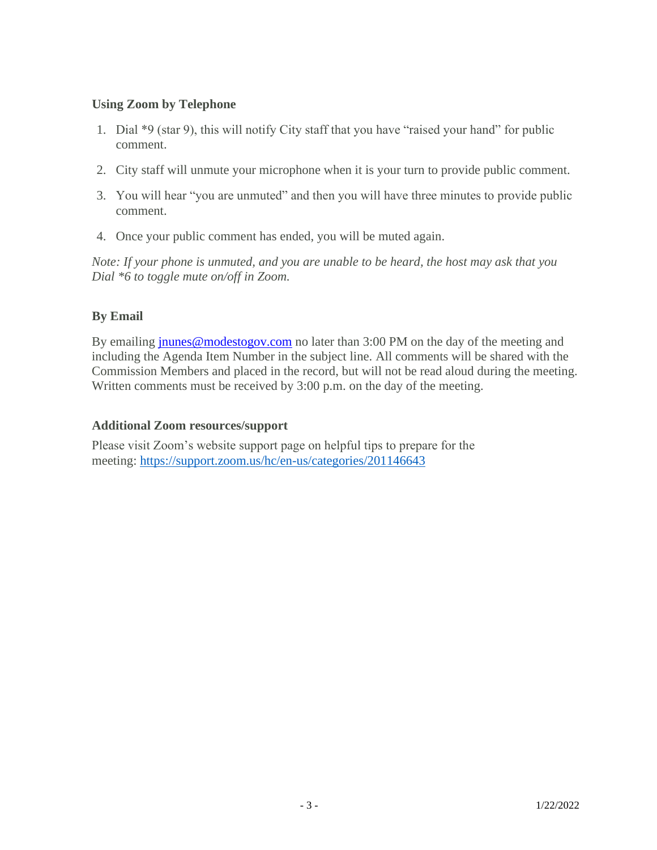#### **Using Zoom by Telephone**

- 1. Dial \*9 (star 9), this will notify City staff that you have "raised your hand" for public comment.
- 2. City staff will unmute your microphone when it is your turn to provide public comment.
- 3. You will hear "you are unmuted" and then you will have three minutes to provide public comment.
- 4. Once your public comment has ended, you will be muted again.

*Note: If your phone is unmuted, and you are unable to be heard, the host may ask that you Dial \*6 to toggle mute on/off in Zoom.*

# **By Email**

By emailing [jnunes@modestogov.com](mailto:jnunes@modestogov.com) no later than 3:00 PM on the day of the meeting and including the Agenda Item Number in the subject line. All comments will be shared with the Commission Members and placed in the record, but will not be read aloud during the meeting. Written comments must be received by 3:00 p.m. on the day of the meeting.

#### **Additional Zoom resources/support**

Please visit Zoom's website support page on helpful tips to prepare for the meeting: <https://support.zoom.us/hc/en-us/categories/201146643>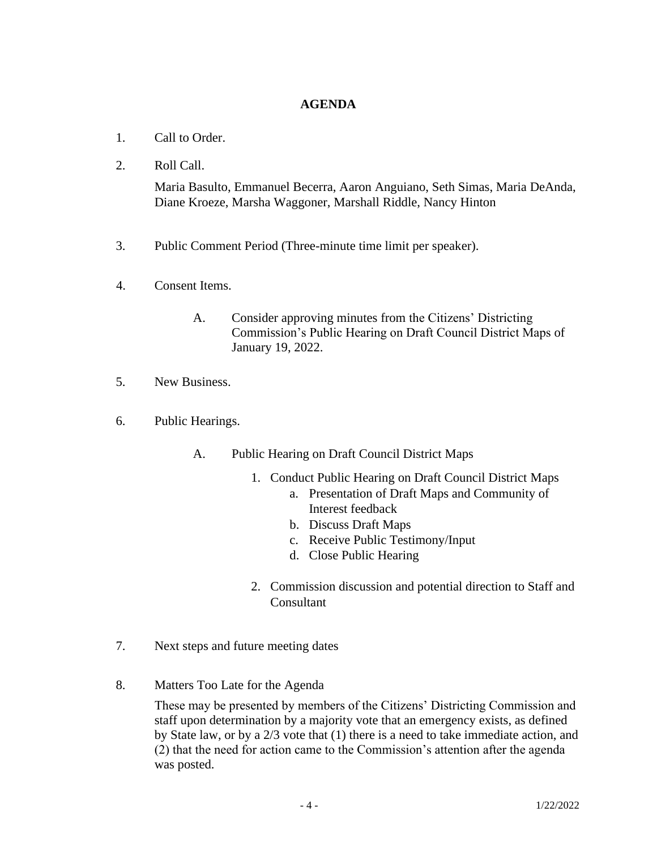#### **AGENDA**

- 1. Call to Order.
- 2. Roll Call.

Maria Basulto, Emmanuel Becerra, Aaron Anguiano, Seth Simas, Maria DeAnda, Diane Kroeze, Marsha Waggoner, Marshall Riddle, Nancy Hinton

- 3. Public Comment Period (Three-minute time limit per speaker).
- 4. Consent Items.
	- A. Consider approving minutes from the Citizens' Districting Commission's Public Hearing on Draft Council District Maps of January 19, 2022.
- 5. New Business.
- 6. Public Hearings.
	- A. Public Hearing on Draft Council District Maps
		- 1. Conduct Public Hearing on Draft Council District Maps
			- a. Presentation of Draft Maps and Community of Interest feedback
			- b. Discuss Draft Maps
			- c. Receive Public Testimony/Input
			- d. Close Public Hearing
		- 2. Commission discussion and potential direction to Staff and Consultant
- 7. Next steps and future meeting dates
- 8. Matters Too Late for the Agenda

These may be presented by members of the Citizens' Districting Commission and staff upon determination by a majority vote that an emergency exists, as defined by State law, or by a 2/3 vote that (1) there is a need to take immediate action, and (2) that the need for action came to the Commission's attention after the agenda was posted.